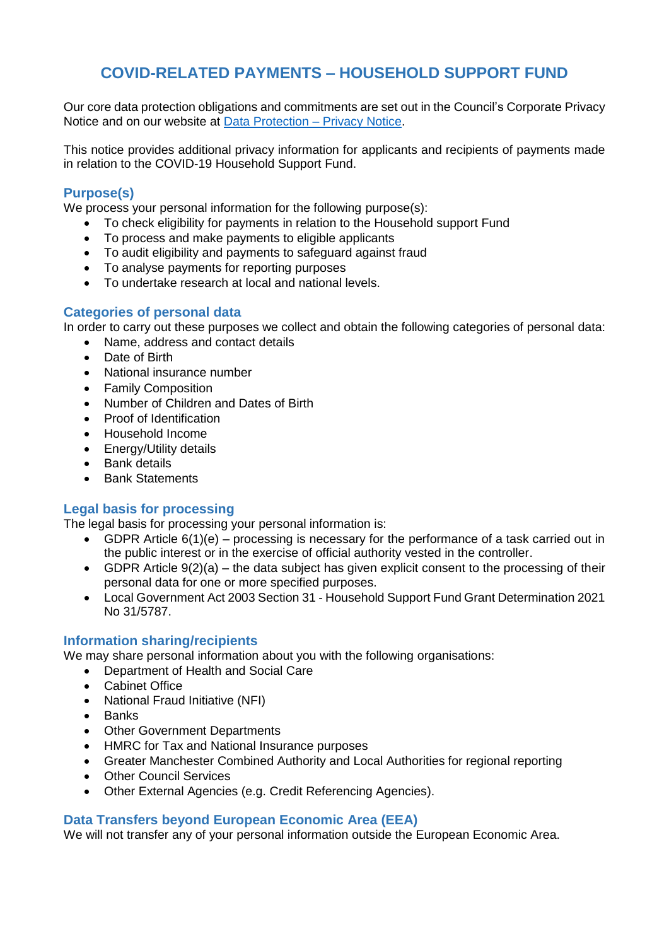# **COVID-RELATED PAYMENTS – HOUSEHOLD SUPPORT FUND**

Our core data protection obligations and commitments are set out in the Council's Corporate Privacy Notice and on our website at [Data Protection –](https://www.tameside.gov.uk/dataprotection/PrivacyNotice) Privacy Notice.

This notice provides additional privacy information for applicants and recipients of payments made in relation to the COVID-19 Household Support Fund.

# **Purpose(s)**

We process your personal information for the following purpose(s):

- To check eligibility for payments in relation to the Household support Fund
- To process and make payments to eligible applicants
- To audit eligibility and payments to safeguard against fraud
- To analyse payments for reporting purposes
- To undertake research at local and national levels.

## **Categories of personal data**

In order to carry out these purposes we collect and obtain the following categories of personal data:

- Name, address and contact details
- Date of Birth
- National insurance number
- Family Composition
- Number of Children and Dates of Birth
- Proof of Identification
- Household Income
- Energy/Utility details
- Bank details
- Bank Statements

# **Legal basis for processing**

The legal basis for processing your personal information is:

- GDPR Article 6(1)(e) processing is necessary for the performance of a task carried out in the public interest or in the exercise of official authority vested in the controller.
- GDPR Article  $9(2)(a)$  the data subject has given explicit consent to the processing of their personal data for one or more specified purposes.
- Local Government Act 2003 Section 31 Household Support Fund Grant Determination 2021 No 31/5787.

# **Information sharing/recipients**

We may share personal information about you with the following organisations:

- Department of Health and Social Care
- **•** Cabinet Office
- National Fraud Initiative (NFI)
- Banks
- Other Government Departments
- HMRC for Tax and National Insurance purposes
- Greater Manchester Combined Authority and Local Authorities for regional reporting
- Other Council Services
- Other External Agencies (e.g. Credit Referencing Agencies).

## **Data Transfers beyond European Economic Area (EEA)**

We will not transfer any of your personal information outside the European Economic Area.